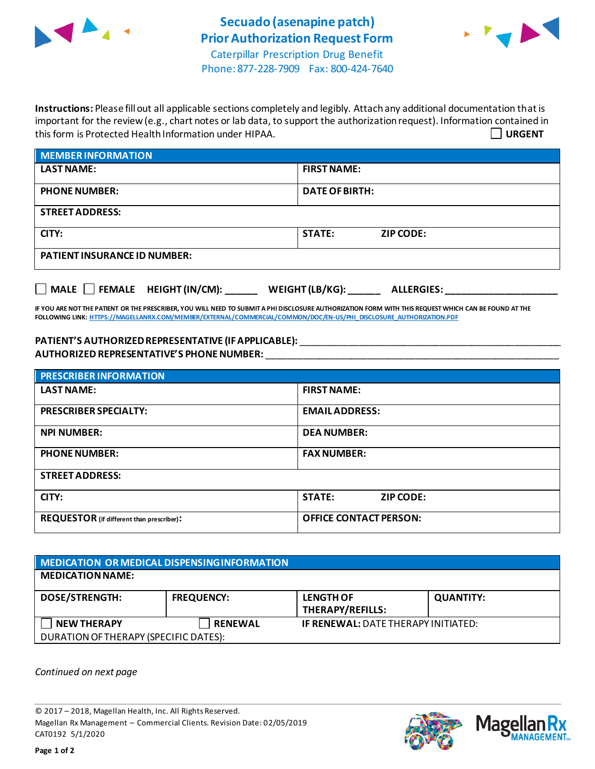



Phone: 877-228-7909 Fax: 800-424-7640

**Instructions:** Please fill out all applicable sections completely and legibly. Attach any additional documentation that is important for the review (e.g., chart notes or lab data, to support the authorization request). Information contained in this form is Protected Health Information under HIPAA. **URGENT**

| <b>MEMBER INFORMATION</b>           |                                   |  |  |
|-------------------------------------|-----------------------------------|--|--|
| <b>LAST NAME:</b>                   | <b>FIRST NAME:</b>                |  |  |
| <b>PHONE NUMBER:</b>                | <b>DATE OF BIRTH:</b>             |  |  |
| <b>STREET ADDRESS:</b>              |                                   |  |  |
| CITY:                               | <b>STATE:</b><br><b>ZIP CODE:</b> |  |  |
| <b>PATIENT INSURANCE ID NUMBER:</b> |                                   |  |  |
|                                     |                                   |  |  |

**IF YOU ARE NOT THE PATIENT OR THE PRESCRIBER, YOU WILL NEED TO SUBMIT A PHI DISCLOSURE AUTHORIZATION FORM WITH THIS REQUEST WHICH CAN BE FOUND AT THE FOLLOWING LINK[: HTTPS://MAGELLANRX.COM/MEMBER/EXTERNAL/COMMERCIAL/COMMON/DOC/EN-US/PHI\\_DISCLOSURE\\_AUTHORIZATION.PDF](https://magellanrx.com/member/external/commercial/common/doc/en-us/PHI_Disclosure_Authorization.pdf)**

**MALE FEMALE HEIGHT (IN/CM): \_\_\_\_\_\_ WEIGHT (LB/KG): \_\_\_\_\_\_ ALLERGIES: \_\_\_\_\_\_\_\_\_\_\_\_\_\_\_\_\_\_\_\_\_**

**PATIENT'S AUTHORIZEDREPRESENTATIVE (IF APPLICABLE):** \_\_\_\_\_\_\_\_\_\_\_\_\_\_\_\_\_\_\_\_\_\_\_\_\_\_\_\_\_\_\_\_\_\_\_\_\_\_\_\_\_\_\_\_\_\_\_\_\_ **AUTHORIZED REPRESENTATIVE'S PHONE NUMBER:** \_\_\_\_\_\_\_\_\_\_\_\_\_\_\_\_\_\_\_\_\_\_\_\_\_\_\_\_\_\_\_\_\_\_\_\_\_\_\_\_\_\_\_\_\_\_\_\_\_\_\_\_\_\_\_

| <b>PRESCRIBER INFORMATION</b>             |                                   |  |  |  |
|-------------------------------------------|-----------------------------------|--|--|--|
| <b>LAST NAME:</b>                         | <b>FIRST NAME:</b>                |  |  |  |
| <b>PRESCRIBER SPECIALTY:</b>              | <b>EMAIL ADDRESS:</b>             |  |  |  |
| <b>NPI NUMBER:</b>                        | <b>DEA NUMBER:</b>                |  |  |  |
| <b>PHONE NUMBER:</b>                      | <b>FAX NUMBER:</b>                |  |  |  |
| <b>STREET ADDRESS:</b>                    |                                   |  |  |  |
| CITY:                                     | <b>STATE:</b><br><b>ZIP CODE:</b> |  |  |  |
| REQUESTOR (if different than prescriber): | <b>OFFICE CONTACT PERSON:</b>     |  |  |  |

| MEDICATION OR MEDICAL DISPENSING INFORMATION |                   |                                            |                  |  |  |
|----------------------------------------------|-------------------|--------------------------------------------|------------------|--|--|
| <b>MEDICATION NAME:</b>                      |                   |                                            |                  |  |  |
| <b>DOSE/STRENGTH:</b>                        | <b>FREQUENCY:</b> | <b>LENGTH OF</b><br>THERAPY/REFILLS:       | <b>QUANTITY:</b> |  |  |
| <b>NEW THERAPY</b>                           | <b>RENEWAL</b>    | <b>IF RENEWAL: DATE THERAPY INITIATED:</b> |                  |  |  |
| DURATION OF THERAPY (SPECIFIC DATES):        |                   |                                            |                  |  |  |

*Continued on next page*

© 2017 – 2018, Magellan Health, Inc. All Rights Reserved. Magellan Rx Management – Commercial Clients. Revision Date: 02/05/2019 CAT0192 5/1/2020